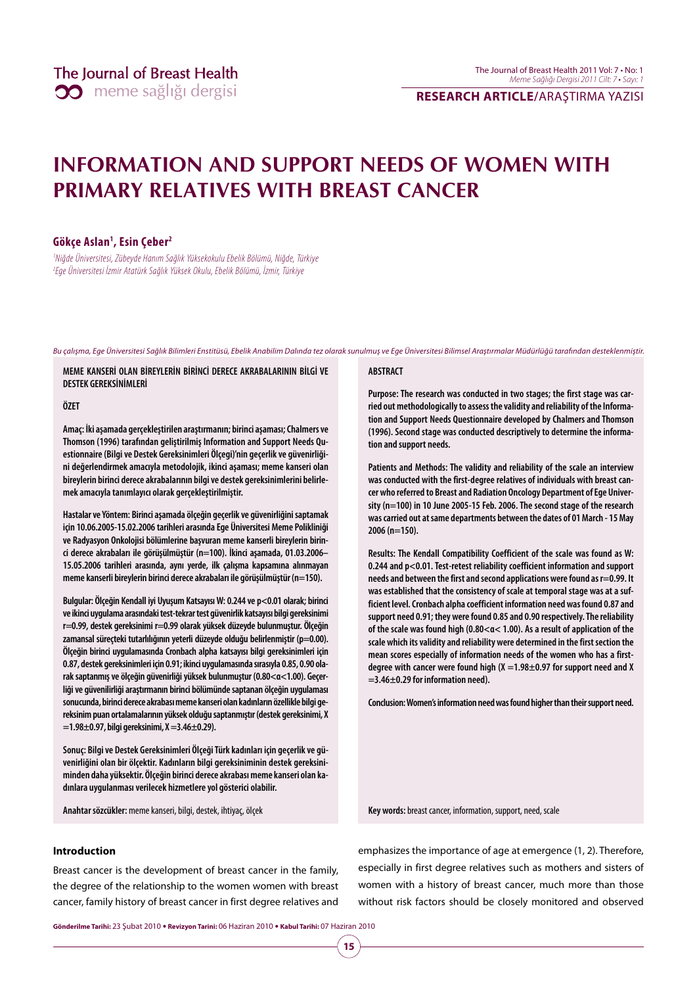## **RESEARCH ARTICLE/**ARAŞTIRMA YAZISI

## **INFORMATION AND SUPPORT NEEDS OF WOMEN WITH PRIMARY RELATIVES WITH BREAST CANCER**

## **Gökçe Aslan1 , Esin Çeber2**

1 Niğde Üniversitesi, Zübeyde Hanım Sağlık Yüksekokulu Ebelik Bölümü, Niğde, Türkiye 2 Ege Üniversitesi İzmir Atatürk Sağlık Yüksek Okulu, Ebelik Bölümü, İzmir, Türkiye

Bu çalışma, Ege Üniversitesi Sağlık Bilimleri Enstitüsü, Ebelik Anabilim Dalında tez olarak sunulmuş ve Ege Üniversitesi Bilimsel Araştırmalar Müdürlüğü tarafından desteklenmiştir.

**MEME KANSERİ OLAN BİREYLERİN BİRİNCİ DERECE AKRABALARININ BİLGİ VE DESTEK GEREKSİNİMLERİ** 

**ÖZET** 

**Amaç: İki aşamada gerçekleştirilen araştırmanın; birinci aşaması; Chalmers ve Thomson (1996) tarafından geliştirilmiş Information and Support Needs Questionnaire (Bilgi ve Destek Gereksinimleri Ölçegi)'nin geçerlik ve güvenirliğini değerlendirmek amacıyla metodolojik, ikinci aşaması; meme kanseri olan bireylerin birinci derece akrabalarının bilgi ve destek gereksinimlerini belirlemek amacıyla tanımlayıcı olarak gerçekleştirilmiştir.**

**Hastalar ve Yöntem: Birinci aşamada ölçeğin geçerlik ve güvenirliğini saptamak için 10.06.2005-15.02.2006 tarihleri arasında Ege Üniversitesi Meme Polikliniği ve Radyasyon Onkolojisi bölümlerine başvuran meme kanserli bireylerin birinci derece akrabaları ile görüşülmüştür (n=100). İkinci aşamada, 01.03.2006– 15.05.2006 tarihleri arasında, aynı yerde, ilk çalışma kapsamına alınmayan meme kanserli bireylerin birinci derece akrabaları ile görüşülmüştür (n=150).**

**Bulgular: Ölçeğin Kendall iyi Uyuşum Katsayısı W: 0.244 ve p<0.01 olarak; birinci ve ikinci uygulama arasındaki test-tekrar test güvenirlik katsayısı bilgi gereksinimi r=0.99, destek gereksinimi r=0.99 olarak yüksek düzeyde bulunmuştur. Ölçeğin**  zamansal süreçteki tutarlılığının yeterli düzeyde olduğu belirlenmiştir (p=0.00). **Ölçeğin birinci uygulamasında Cronbach alpha katsayısı bilgi gereksinimleri için 0.87, destek gereksinimleri için 0.91; ikinci uygulamasında sırasıyla 0.85, 0.90 olarak saptanmış ve ölçeğin güvenirliği yüksek bulunmuştur (0.80<α<1.00). Geçerliği ve güvenilirliği araştırmanın birinci bölümünde saptanan ölçeğin uygulaması sonucunda, birinci derece akrabası meme kanseri olan kadınların özellikle bilgi gereksinim puan ortalamalarının yüksek olduğu saptanmıştır (destek gereksinimi, X =1.98±0.97, bilgi gereksinimi, X =3.46±0.29).** 

**Sonuç: Bilgi ve Destek Gereksinimleri Ölçeği Türk kadınları için geçerlik ve güvenirliğini olan bir ölçektir. Kadınların bilgi gereksiniminin destek gereksiniminden daha yüksektir. Ölçeğin birinci derece akrabası meme kanseri olan kadınlara uygulanması verilecek hizmetlere yol gösterici olabilir.**

**Anahtar sözcükler:** meme kanseri, bilgi, destek, ihtiyaç, ölçek

#### **ABSTRACT**

**Purpose: The research was conducted in two stages; the first stage was carried out methodologically to assess the validity and reliability of the Information and Support Needs Questionnaire developed by Chalmers and Thomson (1996). Second stage was conducted descriptively to determine the information and support needs.** 

**Patients and Methods: The validity and reliability of the scale an interview was conducted with the first-degree relatives of individuals with breast cancer who referred to Breast and Radiation Oncology Department of Ege University (n=100) in 10 June 2005-15 Feb. 2006. The second stage of the research was carried out at same departments between the dates of 01 March - 15 May 2006 (n=150).**

**Results: The Kendall Compatibility Coefficient of the scale was found as W: 0.244 and p<0.01. Test-retest reliability coefficient information and support needs and between the first and second applications were found as r=0.99. It was established that the consistency of scale at temporal stage was at a sufficient level. Cronbach alpha coefficient information need was found 0.87 and support need 0.91; they were found 0.85 and 0.90 respectively. The reliability of the scale was found high (0.80<α< 1.00). As a result of application of the scale which its validity and reliability were determined in the first section the mean scores especially of information needs of the women who has a firstdegree with cancer were found high (X =1.98±0.97 for support need and X =3.46±0.29 for information need).** 

**Conclusion: Women's information need was found higher than their support need.**

emphasizes the importance of age at emergence (1, 2). Therefore, especially in first degree relatives such as mothers and sisters of women with a history of breast cancer, much more than those without risk factors should be closely monitored and observed

**Key words:** breast cancer, information, support, need, scale

#### **Introduction**

Breast cancer is the development of breast cancer in the family, the degree of the relationship to the women women with breast cancer, family history of breast cancer in first degree relatives and

**Gönderilme Tarihi:** 23 Şubat 2010 y **Revizyon Tarini:** 06 Haziran 2010 y **Kabul Tarihi:** 07 Haziran 2010

**15**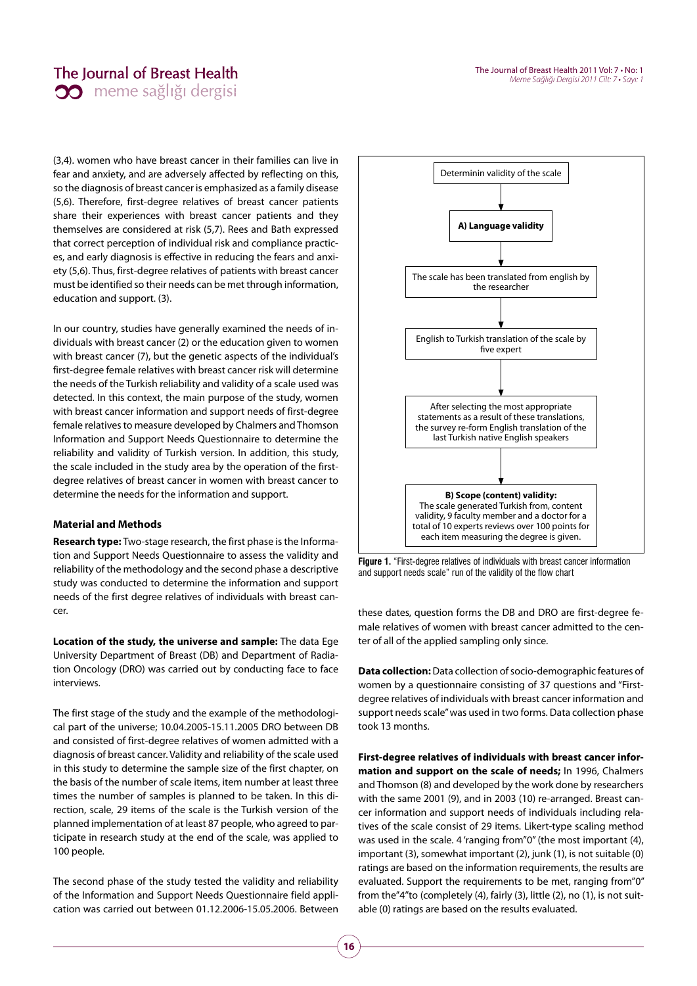## The Journal of Breast Health **00** meme sağlığı dergisi

(3,4). women who have breast cancer in their families can live in fear and anxiety, and are adversely affected by reflecting on this, so the diagnosis of breast cancer is emphasized as a family disease (5,6). Therefore, first-degree relatives of breast cancer patients share their experiences with breast cancer patients and they themselves are considered at risk (5,7). Rees and Bath expressed that correct perception of individual risk and compliance practices, and early diagnosis is effective in reducing the fears and anxiety (5,6). Thus, first-degree relatives of patients with breast cancer must be identified so their needs can be met through information, education and support. (3).

In our country, studies have generally examined the needs of individuals with breast cancer (2) or the education given to women with breast cancer (7), but the genetic aspects of the individual's first-degree female relatives with breast cancer risk will determine the needs of the Turkish reliability and validity of a scale used was detected. In this context, the main purpose of the study, women with breast cancer information and support needs of first-degree female relatives to measure developed by Chalmers and Thomson Information and Support Needs Questionnaire to determine the reliability and validity of Turkish version. In addition, this study, the scale included in the study area by the operation of the firstdegree relatives of breast cancer in women with breast cancer to determine the needs for the information and support.

## **Material and Methods**

**Research type:** Two-stage research, the first phase is the Information and Support Needs Questionnaire to assess the validity and reliability of the methodology and the second phase a descriptive study was conducted to determine the information and support needs of the first degree relatives of individuals with breast cancer.

**Location of the study, the universe and sample:** The data Ege University Department of Breast (DB) and Department of Radiation Oncology (DRO) was carried out by conducting face to face interviews.

The first stage of the study and the example of the methodological part of the universe; 10.04.2005-15.11.2005 DRO between DB and consisted of first-degree relatives of women admitted with a diagnosis of breast cancer. Validity and reliability of the scale used in this study to determine the sample size of the first chapter, on the basis of the number of scale items, item number at least three times the number of samples is planned to be taken. In this direction, scale, 29 items of the scale is the Turkish version of the planned implementation of at least 87 people, who agreed to participate in research study at the end of the scale, was applied to 100 people.

The second phase of the study tested the validity and reliability of the Information and Support Needs Questionnaire field application was carried out between 01.12.2006-15.05.2006. Between



**Figure 1.** "First-degree relatives of individuals with breast cancer information and support needs scale" run of the validity of the flow chart

these dates, question forms the DB and DRO are first-degree female relatives of women with breast cancer admitted to the center of all of the applied sampling only since.

**Data collection:** Data collection of socio-demographic features of women by a questionnaire consisting of 37 questions and "Firstdegree relatives of individuals with breast cancer information and support needs scale" was used in two forms. Data collection phase took 13 months.

**First-degree relatives of individuals with breast cancer information and support on the scale of needs;** In 1996, Chalmers and Thomson (8) and developed by the work done by researchers with the same 2001 (9), and in 2003 (10) re-arranged. Breast cancer information and support needs of individuals including relatives of the scale consist of 29 items. Likert-type scaling method was used in the scale. 4 'ranging from"0" (the most important (4), important (3), somewhat important (2), junk (1), is not suitable (0) ratings are based on the information requirements, the results are evaluated. Support the requirements to be met, ranging from"0" from the"4"to (completely (4), fairly (3), little (2), no (1), is not suitable (0) ratings are based on the results evaluated.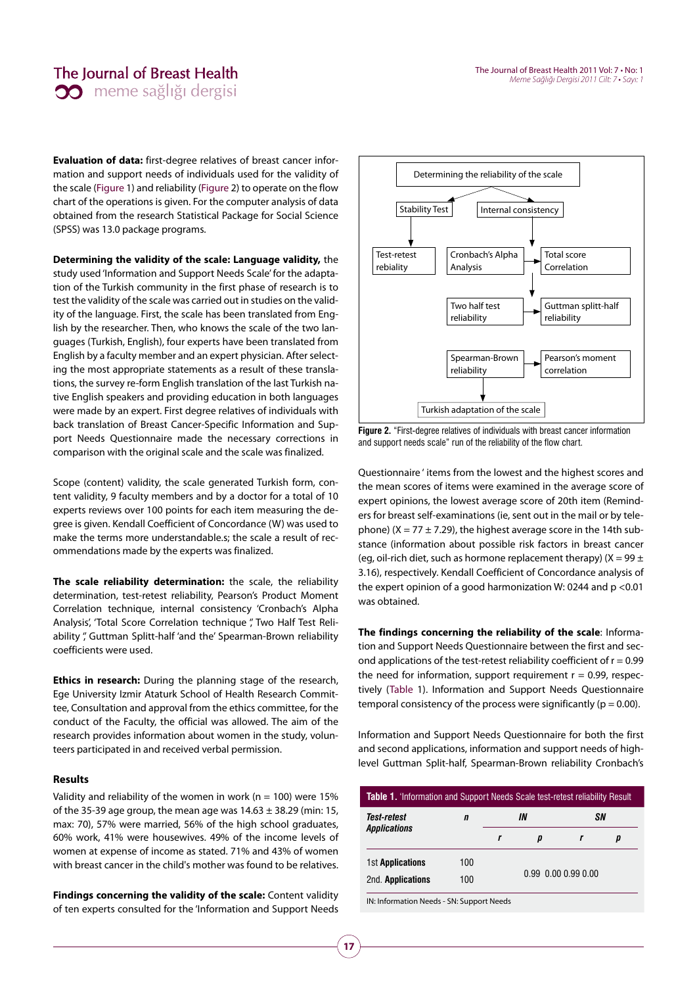## The Journal of Breast Health **00** meme sağlığı dergisi

**Evaluation of data:** first-degree relatives of breast cancer information and support needs of individuals used for the validity of the scale (Figure 1) and reliability (Figure 2) to operate on the flow chart of the operations is given. For the computer analysis of data obtained from the research Statistical Package for Social Science (SPSS) was 13.0 package programs.

**Determining the validity of the scale: Language validity,** the study used 'Information and Support Needs Scale' for the adaptation of the Turkish community in the first phase of research is to test the validity of the scale was carried out in studies on the validity of the language. First, the scale has been translated from English by the researcher. Then, who knows the scale of the two languages (Turkish, English), four experts have been translated from English by a faculty member and an expert physician. After selecting the most appropriate statements as a result of these translations, the survey re-form English translation of the last Turkish native English speakers and providing education in both languages were made by an expert. First degree relatives of individuals with back translation of Breast Cancer-Specific Information and Support Needs Questionnaire made the necessary corrections in comparison with the original scale and the scale was finalized.

Scope (content) validity, the scale generated Turkish form, content validity, 9 faculty members and by a doctor for a total of 10 experts reviews over 100 points for each item measuring the degree is given. Kendall Coefficient of Concordance (W) was used to make the terms more understandable.s; the scale a result of recommendations made by the experts was finalized.

**The scale reliability determination:** the scale, the reliability determination, test-retest reliability, Pearson's Product Moment Correlation technique, internal consistency 'Cronbach's Alpha Analysis', 'Total Score Correlation technique ", Two Half Test Reliability ", Guttman Splitt-half 'and the' Spearman-Brown reliability coefficients were used.

**Ethics in research:** During the planning stage of the research, Ege University Izmir Ataturk School of Health Research Committee, Consultation and approval from the ethics committee, for the conduct of the Faculty, the official was allowed. The aim of the research provides information about women in the study, volunteers participated in and received verbal permission.

## **Results**

Validity and reliability of the women in work ( $n = 100$ ) were 15% of the 35-39 age group, the mean age was  $14.63 \pm 38.29$  (min: 15, max: 70), 57% were married, 56% of the high school graduates, 60% work, 41% were housewives. 49% of the income levels of women at expense of income as stated. 71% and 43% of women with breast cancer in the child's mother was found to be relatives.

**Findings concerning the validity of the scale:** Content validity of ten experts consulted for the 'Information and Support Needs



**Figure 2.** "First-degree relatives of individuals with breast cancer information and support needs scale" run of the reliability of the flow chart.

Questionnaire ' items from the lowest and the highest scores and the mean scores of items were examined in the average score of expert opinions, the lowest average score of 20th item (Reminders for breast self-examinations (ie, sent out in the mail or by telephone) ( $X = 77 \pm 7.29$ ), the highest average score in the 14th substance (information about possible risk factors in breast cancer (eg, oil-rich diet, such as hormone replacement therapy)  $(X = 99 \pm 1)$ 3.16), respectively. Kendall Coefficient of Concordance analysis of the expert opinion of a good harmonization W: 0244 and p <0.01 was obtained.

**The findings concerning the reliability of the scale**: Information and Support Needs Questionnaire between the first and second applications of the test-retest reliability coefficient of  $r = 0.99$ the need for information, support requirement  $r = 0.99$ , respectively (Table 1). Information and Support Needs Questionnaire temporal consistency of the process were significantly ( $p = 0.00$ ).

Information and Support Needs Questionnaire for both the first and second applications, information and support needs of highlevel Guttman Split-half, Spearman-Brown reliability Cronbach's

|     |  | D                                       |  | р |  |
|-----|--|-----------------------------------------|--|---|--|
| 100 |  | $0.99$ $0.00$ $0.99$ $0.00$             |  |   |  |
| 100 |  |                                         |  |   |  |
|     |  | INI-Information Noode CNI-Cunnort Noode |  |   |  |

IN: Information Needs - SN: Support Needs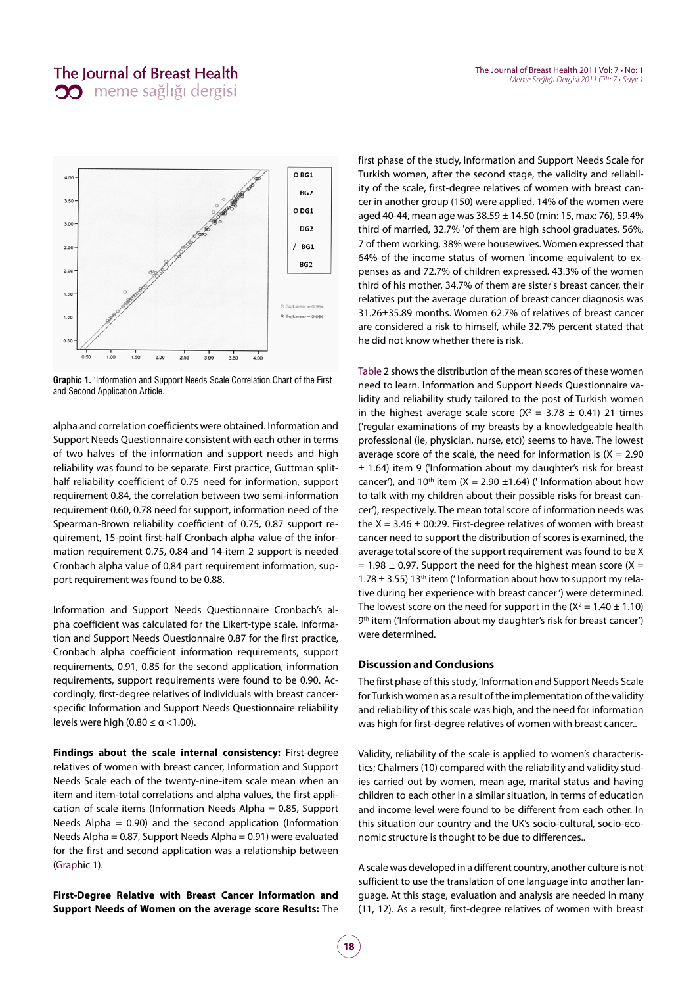

**Graphic 1.** 'Information and Support Needs Scale Correlation Chart of the First and Second Application Article.

alpha and correlation coefficients were obtained. Information and Support Needs Questionnaire consistent with each other in terms of two halves of the information and support needs and high reliability was found to be separate. First practice, Guttman splithalf reliability coefficient of 0.75 need for information, support requirement 0.84, the correlation between two semi-information requirement 0.60, 0.78 need for support, information need of the Spearman-Brown reliability coefficient of 0.75, 0.87 support requirement, 15-point first-half Cronbach alpha value of the information requirement 0.75, 0.84 and 14-item 2 support is needed Cronbach alpha value of 0.84 part requirement information, support requirement was found to be 0.88.

Information and Support Needs Questionnaire Cronbach's alpha coefficient was calculated for the Likert-type scale. Information and Support Needs Questionnaire 0.87 for the first practice, Cronbach alpha coefficient information requirements, support requirements, 0.91, 0.85 for the second application, information requirements, support requirements were found to be 0.90. Accordingly, first-degree relatives of individuals with breast cancerspecific Information and Support Needs Questionnaire reliability levels were high (0.80  $\leq \alpha \lt 1.00$ ).

**Findings about the scale internal consistency:** First-degree relatives of women with breast cancer, Information and Support Needs Scale each of the twenty-nine-item scale mean when an item and item-total correlations and alpha values, the first application of scale items (Information Needs Alpha = 0.85, Support Needs Alpha =  $0.90$ ) and the second application (Information Needs Alpha = 0.87, Support Needs Alpha = 0.91) were evaluated for the first and second application was a relationship between (Graphic 1).

**First-Degree Relative with Breast Cancer Information and Support Needs of Women on the average score Results:** The

first phase of the study, Information and Support Needs Scale for Turkish women, after the second stage, the validity and reliability of the scale, first-degree relatives of women with breast cancer in another group (150) were applied. 14% of the women were aged 40-44, mean age was 38.59 ± 14.50 (min: 15, max: 76), 59.4% third of married, 32.7% 'of them are high school graduates, 56%, 7 of them working, 38% were housewives. Women expressed that 64% of the income status of women 'income equivalent to expenses as and 72.7% of children expressed. 43.3% of the women third of his mother, 34.7% of them are sister's breast cancer, their relatives put the average duration of breast cancer diagnosis was 31.26±35.89 months. Women 62.7% of relatives of breast cancer are considered a risk to himself, while 32.7% percent stated that he did not know whether there is risk.

Table 2 shows the distribution of the mean scores of these women need to learn. Information and Support Needs Questionnaire validity and reliability study tailored to the post of Turkish women in the highest average scale score ( $X^2 = 3.78 \pm 0.41$ ) 21 times ('regular examinations of my breasts by a knowledgeable health professional (ie, physician, nurse, etc)) seems to have. The lowest average score of the scale, the need for information is  $(X = 2.90)$ ± 1.64) item 9 ('Information about my daughter's risk for breast cancer'), and 10<sup>th</sup> item (X = 2.90  $\pm$ 1.64) (' Information about how to talk with my children about their possible risks for breast cancer'), respectively. The mean total score of information needs was the  $X = 3.46 \pm 00:29$ . First-degree relatives of women with breast cancer need to support the distribution of scores is examined, the average total score of the support requirement was found to be X  $= 1.98 \pm 0.97$ . Support the need for the highest mean score (X = 1.78  $\pm$  3.55) 13<sup>th</sup> item ('Information about how to support my relative during her experience with breast cancer ') were determined. The lowest score on the need for support in the  $(X^2 = 1.40 \pm 1.10)$ 9<sup>th</sup> item ('Information about my daughter's risk for breast cancer') were determined.

## **Discussion and Conclusions**

The first phase of this study, 'Information and Support Needs Scale for Turkish women as a result of the implementation of the validity and reliability of this scale was high, and the need for information was high for first-degree relatives of women with breast cancer..

Validity, reliability of the scale is applied to women's characteristics; Chalmers (10) compared with the reliability and validity studies carried out by women, mean age, marital status and having children to each other in a similar situation, in terms of education and income level were found to be different from each other. In this situation our country and the UK's socio-cultural, socio-economic structure is thought to be due to differences..

A scale was developed in a different country, another culture is not sufficient to use the translation of one language into another language. At this stage, evaluation and analysis are needed in many (11, 12). As a result, first-degree relatives of women with breast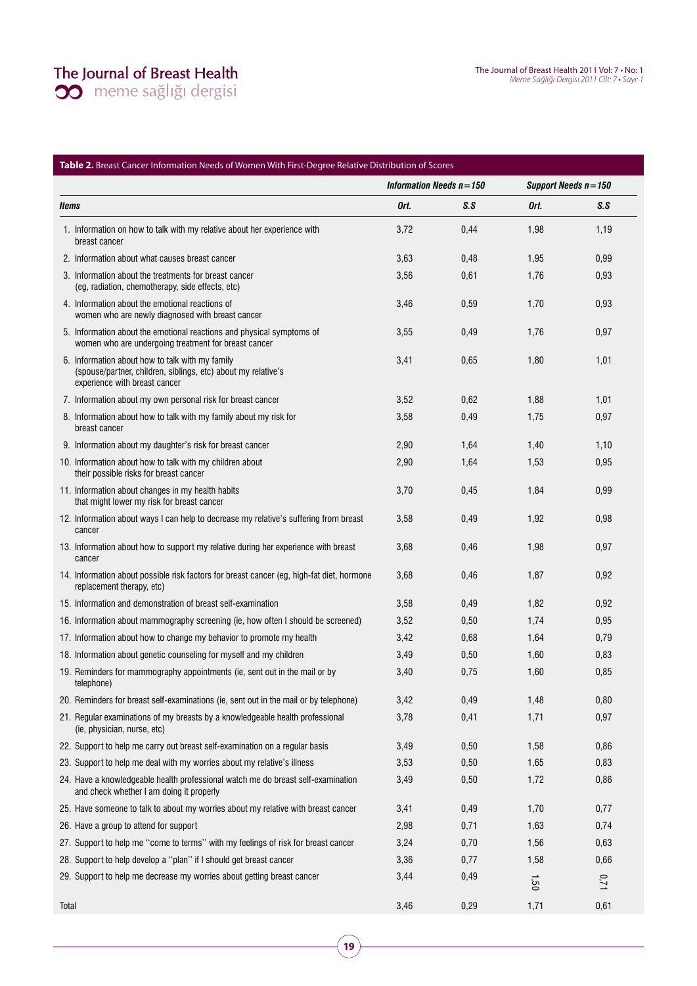# The Journal of Breast Health<br>
20 meme sağlığı dergisi

|       |                                                                                                                                                   | Information Needs $n = 150$ |      | Support Needs n=150 |      |
|-------|---------------------------------------------------------------------------------------------------------------------------------------------------|-----------------------------|------|---------------------|------|
| ltems |                                                                                                                                                   | Ort.                        | S.S  | Ort.                | S.S  |
|       | 1. Information on how to talk with my relative about her experience with<br>breast cancer                                                         | 3,72                        | 0,44 | 1,98                | 1,19 |
|       | 2. Information about what causes breast cancer                                                                                                    | 3,63                        | 0,48 | 1,95                | 0,99 |
|       | 3. Information about the treatments for breast cancer<br>(eg, radiation, chemotherapy, side effects, etc)                                         | 3,56                        | 0,61 | 1,76                | 0,93 |
|       | 4. Information about the emotional reactions of<br>women who are newly diagnosed with breast cancer                                               | 3,46                        | 0,59 | 1,70                | 0,93 |
|       | 5. Information about the emotional reactions and physical symptoms of<br>women who are undergoing treatment for breast cancer                     | 3,55                        | 0,49 | 1,76                | 0,97 |
|       | 6. Information about how to talk with my family<br>(spouse/partner, children, siblings, etc) about my relative's<br>experience with breast cancer | 3,41                        | 0,65 | 1,80                | 1,01 |
|       | 7. Information about my own personal risk for breast cancer                                                                                       | 3,52                        | 0,62 | 1,88                | 1,01 |
|       | 8. Information about how to talk with my family about my risk for<br>breast cancer                                                                | 3,58                        | 0,49 | 1,75                | 0,97 |
|       | 9. Information about my daughter's risk for breast cancer                                                                                         | 2,90                        | 1,64 | 1,40                | 1,10 |
|       | 10. Information about how to talk with my children about<br>their possible risks for breast cancer                                                | 2,90                        | 1,64 | 1,53                | 0,95 |
|       | 11. Information about changes in my health habits<br>that might lower my risk for breast cancer                                                   | 3,70                        | 0,45 | 1,84                | 0,99 |
|       | 12. Information about ways I can help to decrease my relative's suffering from breast<br>cancer                                                   | 3,58                        | 0,49 | 1,92                | 0,98 |
|       | 13. Information about how to support my relative during her experience with breast<br>cancer                                                      | 3,68                        | 0,46 | 1,98                | 0,97 |
|       | 14. Information about possible risk factors for breast cancer (eg, high-fat diet, hormone<br>replacement therapy, etc)                            | 3,68                        | 0,46 | 1,87                | 0,92 |
|       | 15. Information and demonstration of breast self-examination                                                                                      | 3,58                        | 0,49 | 1,82                | 0,92 |
|       | 16. Information about mammography screening (ie, how often I should be screened)                                                                  | 3,52                        | 0,50 | 1,74                | 0,95 |
|       | 17. Information about how to change my behavior to promote my health                                                                              | 3,42                        | 0,68 | 1,64                | 0,79 |
|       | 18. Information about genetic counseling for myself and my children                                                                               | 3,49                        | 0,50 | 1,60                | 0,83 |
|       | 19. Reminders for mammography appointments (ie, sent out in the mail or by<br>telephone)                                                          | 3,40                        | 0,75 | 1,60                | 0,85 |
|       | 20. Reminders for breast self-examinations (ie, sent out in the mail or by telephone)                                                             | 3,42                        | 0,49 | 1,48                | 0,80 |
|       | 21. Regular examinations of my breasts by a knowledgeable health professional<br>(ie, physician, nurse, etc)                                      | 3,78                        | 0,41 | 1,71                | 0,97 |
|       | 22. Support to help me carry out breast self-examination on a regular basis                                                                       | 3,49                        | 0,50 | 1,58                | 0,86 |
|       | 23. Support to help me deal with my worries about my relative's illness                                                                           | 3,53                        | 0,50 | 1,65                | 0,83 |
|       | 24. Have a knowledgeable health professional watch me do breast self-examination<br>and check whether I am doing it properly                      | 3,49                        | 0,50 | 1,72                | 0,86 |
|       | 25. Have someone to talk to about my worries about my relative with breast cancer                                                                 | 3,41                        | 0,49 | 1,70                | 0,77 |
|       | 26. Have a group to attend for support                                                                                                            | 2,98                        | 0,71 | 1,63                | 0,74 |
|       | 27. Support to help me "come to terms" with my feelings of risk for breast cancer                                                                 | 3,24                        | 0,70 | 1,56                | 0,63 |
|       | 28. Support to help develop a "plan" if I should get breast cancer                                                                                | 3,36                        | 0,77 | 1,58                | 0,66 |
|       | 29. Support to help me decrease my worries about getting breast cancer                                                                            | 3,44                        | 0,49 | 1.50                | 0,71 |
| Total |                                                                                                                                                   | 3,46                        | 0,29 | 1,71                | 0,61 |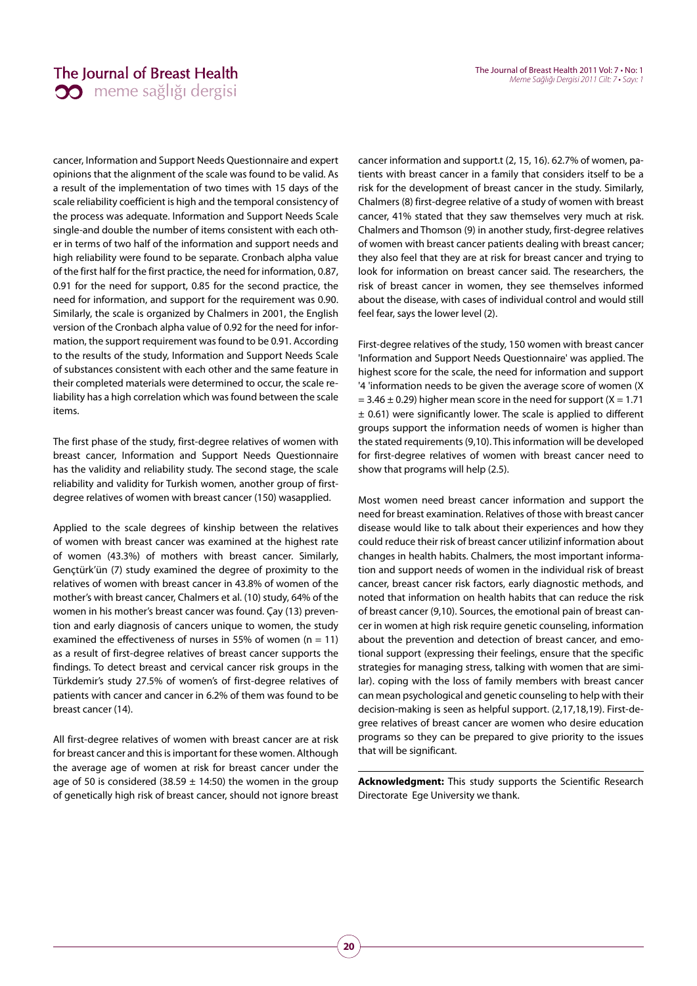cancer, Information and Support Needs Questionnaire and expert opinions that the alignment of the scale was found to be valid. As a result of the implementation of two times with 15 days of the scale reliability coefficient is high and the temporal consistency of the process was adequate. Information and Support Needs Scale single-and double the number of items consistent with each other in terms of two half of the information and support needs and high reliability were found to be separate. Cronbach alpha value of the first half for the first practice, the need for information, 0.87, 0.91 for the need for support, 0.85 for the second practice, the need for information, and support for the requirement was 0.90. Similarly, the scale is organized by Chalmers in 2001, the English version of the Cronbach alpha value of 0.92 for the need for information, the support requirement was found to be 0.91. According to the results of the study, Information and Support Needs Scale of substances consistent with each other and the same feature in their completed materials were determined to occur, the scale reliability has a high correlation which was found between the scale items.

The first phase of the study, first-degree relatives of women with breast cancer, Information and Support Needs Questionnaire has the validity and reliability study. The second stage, the scale reliability and validity for Turkish women, another group of firstdegree relatives of women with breast cancer (150) wasapplied.

Applied to the scale degrees of kinship between the relatives of women with breast cancer was examined at the highest rate of women (43.3%) of mothers with breast cancer. Similarly, Gençtürk'ün (7) study examined the degree of proximity to the relatives of women with breast cancer in 43.8% of women of the mother's with breast cancer, Chalmers et al. (10) study, 64% of the women in his mother's breast cancer was found. Çay (13) prevention and early diagnosis of cancers unique to women, the study examined the effectiveness of nurses in 55% of women ( $n = 11$ ) as a result of first-degree relatives of breast cancer supports the findings. To detect breast and cervical cancer risk groups in the Türkdemir's study 27.5% of women's of first-degree relatives of patients with cancer and cancer in 6.2% of them was found to be breast cancer (14).

All first-degree relatives of women with breast cancer are at risk for breast cancer and this is important for these women. Although the average age of women at risk for breast cancer under the age of 50 is considered (38.59  $\pm$  14:50) the women in the group of genetically high risk of breast cancer, should not ignore breast cancer information and support.t (2, 15, 16). 62.7% of women, patients with breast cancer in a family that considers itself to be a risk for the development of breast cancer in the study. Similarly, Chalmers (8) first-degree relative of a study of women with breast cancer, 41% stated that they saw themselves very much at risk. Chalmers and Thomson (9) in another study, first-degree relatives of women with breast cancer patients dealing with breast cancer; they also feel that they are at risk for breast cancer and trying to look for information on breast cancer said. The researchers, the risk of breast cancer in women, they see themselves informed about the disease, with cases of individual control and would still feel fear, says the lower level (2).

First-degree relatives of the study, 150 women with breast cancer 'Information and Support Needs Questionnaire' was applied. The highest score for the scale, the need for information and support '4 'information needs to be given the average score of women (X  $= 3.46 \pm 0.29$ ) higher mean score in the need for support (X = 1.71  $\pm$  0.61) were significantly lower. The scale is applied to different groups support the information needs of women is higher than the stated requirements (9,10). This information will be developed for first-degree relatives of women with breast cancer need to show that programs will help (2.5).

Most women need breast cancer information and support the need for breast examination. Relatives of those with breast cancer disease would like to talk about their experiences and how they could reduce their risk of breast cancer utilizinf information about changes in health habits. Chalmers, the most important information and support needs of women in the individual risk of breast cancer, breast cancer risk factors, early diagnostic methods, and noted that information on health habits that can reduce the risk of breast cancer (9,10). Sources, the emotional pain of breast cancer in women at high risk require genetic counseling, information about the prevention and detection of breast cancer, and emotional support (expressing their feelings, ensure that the specific strategies for managing stress, talking with women that are similar). coping with the loss of family members with breast cancer can mean psychological and genetic counseling to help with their decision-making is seen as helpful support. (2,17,18,19). First-degree relatives of breast cancer are women who desire education programs so they can be prepared to give priority to the issues that will be significant.

**Acknowledgment:** This study supports the Scientific Research Directorate Ege University we thank.